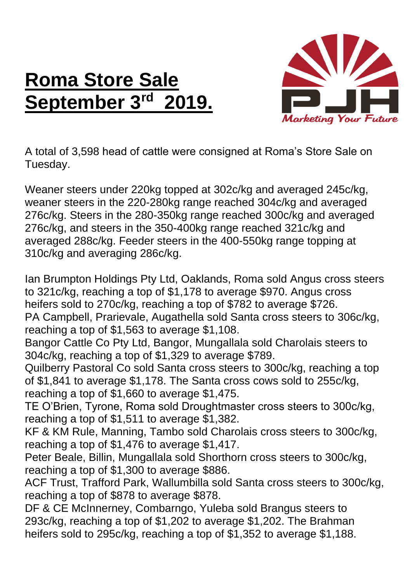## **Roma Store Sale September 3rd 2019.**



A total of 3,598 head of cattle were consigned at Roma's Store Sale on Tuesday.

Weaner steers under 220kg topped at 302c/kg and averaged 245c/kg, weaner steers in the 220-280kg range reached 304c/kg and averaged 276c/kg. Steers in the 280-350kg range reached 300c/kg and averaged 276c/kg, and steers in the 350-400kg range reached 321c/kg and averaged 288c/kg. Feeder steers in the 400-550kg range topping at 310c/kg and averaging 286c/kg.

Ian Brumpton Holdings Pty Ltd, Oaklands, Roma sold Angus cross steers to 321c/kg, reaching a top of \$1,178 to average \$970. Angus cross heifers sold to 270c/kg, reaching a top of \$782 to average \$726. PA Campbell, Prarievale, Augathella sold Santa cross steers to 306c/kg, reaching a top of \$1,563 to average \$1,108. Bangor Cattle Co Pty Ltd, Bangor, Mungallala sold Charolais steers to 304c/kg, reaching a top of \$1,329 to average \$789.

Quilberry Pastoral Co sold Santa cross steers to 300c/kg, reaching a top of \$1,841 to average \$1,178. The Santa cross cows sold to 255c/kg, reaching a top of \$1,660 to average \$1,475.

TE O'Brien, Tyrone, Roma sold Droughtmaster cross steers to 300c/kg, reaching a top of \$1,511 to average \$1,382.

KF & KM Rule, Manning, Tambo sold Charolais cross steers to 300c/kg, reaching a top of \$1,476 to average \$1,417.

Peter Beale, Billin, Mungallala sold Shorthorn cross steers to 300c/kg, reaching a top of \$1,300 to average \$886.

ACF Trust, Trafford Park, Wallumbilla sold Santa cross steers to 300c/kg, reaching a top of \$878 to average \$878.

DF & CE McInnerney, Combarngo, Yuleba sold Brangus steers to 293c/kg, reaching a top of \$1,202 to average \$1,202. The Brahman heifers sold to 295c/kg, reaching a top of \$1,352 to average \$1,188.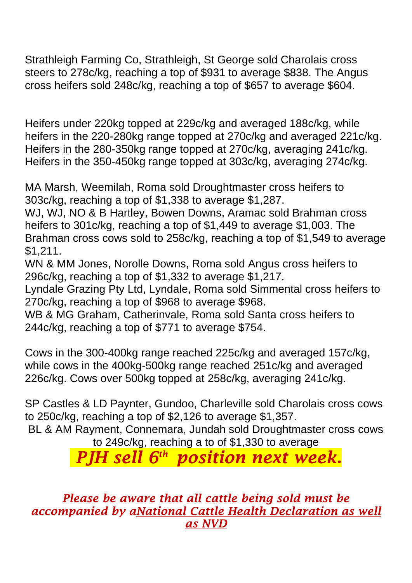cross heifers sold 248c/kg, reaching a top of \$657 to average \$604.

Heifers under 220kg topped at 229c/kg and averaged 188c/kg, while heifers in the 220-280kg range topped at 270c/kg and averaged 221c/kg. Heifers in the 280-350kg range topped at 270c/kg, averaging 241c/kg. Heifers in the 350-450kg range topped at 303c/kg, averaging 274c/kg.

MA Marsh, Weemilah, Roma sold Droughtmaster cross heifers to 303c/kg, reaching a top of \$1,338 to average \$1,287.

WJ, WJ, NO & B Hartley, Bowen Downs, Aramac sold Brahman cross heifers to 301c/kg, reaching a top of \$1,449 to average \$1,003. The Brahman cross cows sold to 258c/kg, reaching a top of \$1,549 to average \$1,211.

WN & MM Jones, Norolle Downs, Roma sold Angus cross heifers to 296c/kg, reaching a top of \$1,332 to average \$1,217.

Lyndale Grazing Pty Ltd, Lyndale, Roma sold Simmental cross heifers to 270c/kg, reaching a top of \$968 to average \$968.

WB & MG Graham, Catherinvale, Roma sold Santa cross heifers to 244c/kg, reaching a top of \$771 to average \$754.

Cows in the 300-400kg range reached 225c/kg and averaged 157c/kg, while cows in the 400kg-500kg range reached 251c/kg and averaged 226c/kg. Cows over 500kg topped at 258c/kg, averaging 241c/kg.

SP Castles & LD Paynter, Gundoo, Charleville sold Charolais cross cows to 250c/kg, reaching a top of \$2,126 to average \$1,357.

BL & AM Rayment, Connemara, Jundah sold Droughtmaster cross cows to 249c/kg, reaching a to of \$1,330 to average

*PJH sell 6 th position next week.*

*Please be aware that all cattle being sold must be accompanied by aNational Cattle Health Declaration as well as NVD*